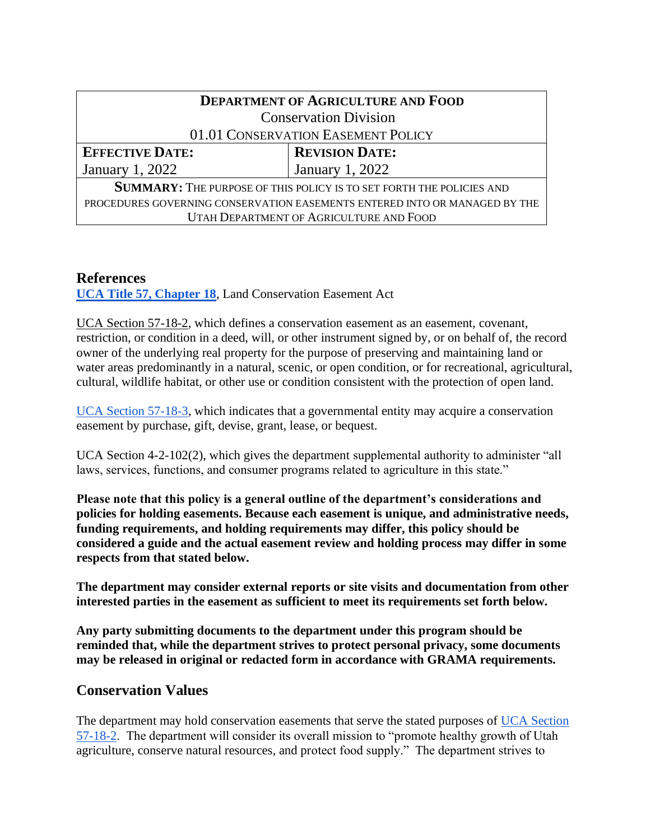|                        | <b>DEPARTMENT OF AGRICULTURE AND FOOD</b>                                   |
|------------------------|-----------------------------------------------------------------------------|
|                        | <b>Conservation Division</b>                                                |
|                        | 01.01 CONSERVATION EASEMENT POLICY                                          |
| <b>EFFECTIVE DATE:</b> | <b>REVISION DATE:</b>                                                       |
| January 1, 2022        | January 1, 2022                                                             |
|                        | <b>SUMMARY:</b> THE PURPOSE OF THIS POLICY IS TO SET FORTH THE POLICIES AND |
|                        | PROCEDURES GOVERNING CONSERVATION EASEMENTS ENTERED INTO OR MANAGED BY THE  |
|                        | UTAH DEPARTMENT OF AGRICULTURE AND FOOD                                     |

## **References**

**[UCA Title 57, Chapter 18](https://le.utah.gov/xcode/Title57/Chapter18/57-18.html)**, Land Conservation Easement Act

[UCA Section 57-18-2,](https://le.utah.gov/xcode/Title57/Chapter18/57-18-S2.html) which defines a conservation easement as an easement, covenant, restriction, or condition in a deed, will, or other instrument signed by, or on behalf of, the record owner of the underlying real property for the purpose of preserving and maintaining land or water areas predominantly in a natural, scenic, or open condition, or for recreational, agricultural, cultural, wildlife habitat, or other use or condition consistent with the protection of open land.

[UCA Section 57-18-3,](https://le.utah.gov/xcode/Title57/Chapter18/57-18-S3.html?v=C57-18-S3_1800010118000101) which indicates that a governmental entity may acquire a conservation easement by purchase, gift, devise, grant, lease, or bequest.

UCA Section 4-2-102(2), which gives the department supplemental authority to administer "all laws, services, functions, and consumer programs related to agriculture in this state."

**Please note that this policy is a general outline of the department's considerations and policies for holding easements. Because each easement is unique, and administrative needs, funding requirements, and holding requirements may differ, this policy should be considered a guide and the actual easement review and holding process may differ in some respects from that stated below.**

**The department may consider external reports or site visits and documentation from other interested parties in the easement as sufficient to meet its requirements set forth below.**

**Any party submitting documents to the department under this program should be reminded that, while the department strives to protect personal privacy, some documents may be released in original or redacted form in accordance with GRAMA requirements.**

## **Conservation Values**

The department may hold conservation easements that serve the stated purposes of [UCA Section](https://le.utah.gov/xcode/Title57/Chapter18/57-18-S2.html)  [57-18-2.](https://le.utah.gov/xcode/Title57/Chapter18/57-18-S2.html) The department will consider its overall mission to "promote healthy growth of Utah agriculture, conserve natural resources, and protect food supply." The department strives to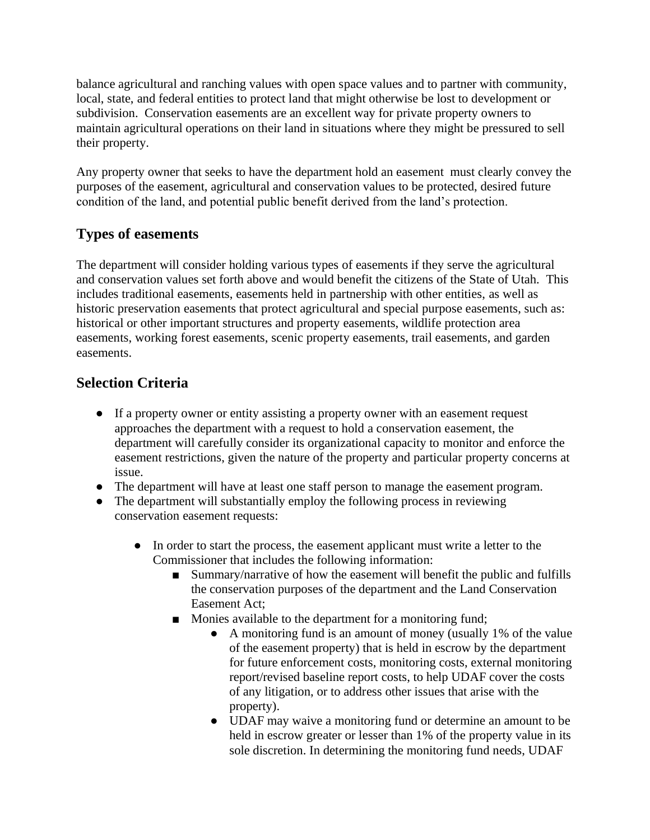balance agricultural and ranching values with open space values and to partner with community, local, state, and federal entities to protect land that might otherwise be lost to development or subdivision. Conservation easements are an excellent way for private property owners to maintain agricultural operations on their land in situations where they might be pressured to sell their property.

Any property owner that seeks to have the department hold an easement must clearly convey the purposes of the easement, agricultural and conservation values to be protected, desired future condition of the land, and potential public benefit derived from the land's protection.

# **Types of easements**

The department will consider holding various types of easements if they serve the agricultural and conservation values set forth above and would benefit the citizens of the State of Utah. This includes traditional easements, easements held in partnership with other entities, as well as historic preservation easements that protect agricultural and special purpose easements, such as: historical or other important structures and property easements, wildlife protection area easements, working forest easements, scenic property easements, trail easements, and garden easements.

# **Selection Criteria**

- If a property owner or entity assisting a property owner with an easement request approaches the department with a request to hold a conservation easement, the department will carefully consider its organizational capacity to monitor and enforce the easement restrictions, given the nature of the property and particular property concerns at issue.
- The department will have at least one staff person to manage the easement program.
- The department will substantially employ the following process in reviewing conservation easement requests:
	- In order to start the process, the easement applicant must write a letter to the Commissioner that includes the following information:
		- Summary/narrative of how the easement will benefit the public and fulfills the conservation purposes of the department and the Land Conservation Easement Act;
		- Monies available to the department for a monitoring fund;
			- A monitoring fund is an amount of money (usually 1% of the value of the easement property) that is held in escrow by the department for future enforcement costs, monitoring costs, external monitoring report/revised baseline report costs, to help UDAF cover the costs of any litigation, or to address other issues that arise with the property).
			- UDAF may waive a monitoring fund or determine an amount to be held in escrow greater or lesser than 1% of the property value in its sole discretion. In determining the monitoring fund needs, UDAF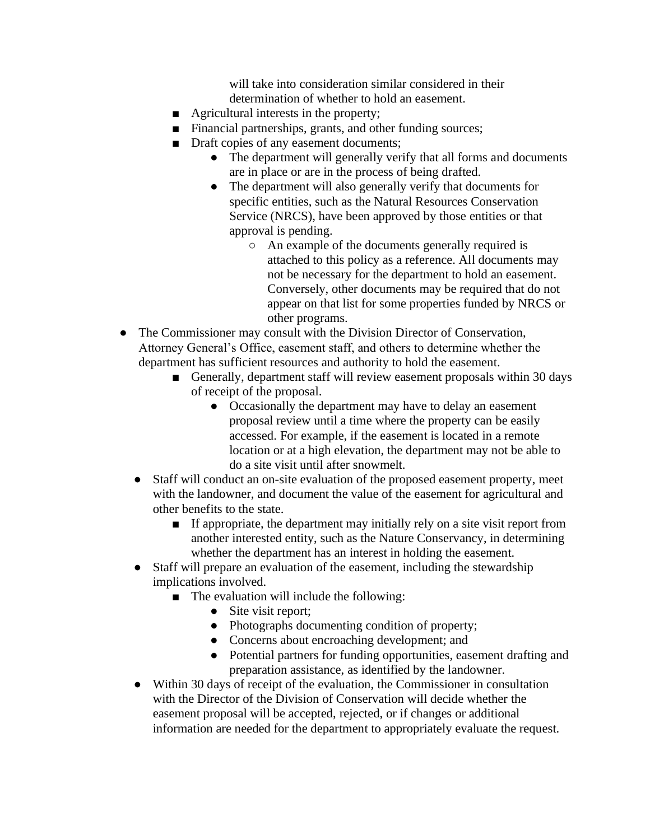will take into consideration similar considered in their determination of whether to hold an easement.

- Agricultural interests in the property;
- Financial partnerships, grants, and other funding sources;
- Draft copies of any easement documents;
	- The department will generally verify that all forms and documents are in place or are in the process of being drafted.
	- The department will also generally verify that documents for specific entities, such as the Natural Resources Conservation Service (NRCS), have been approved by those entities or that approval is pending.
		- An example of the documents generally required is attached to this policy as a reference. All documents may not be necessary for the department to hold an easement. Conversely, other documents may be required that do not appear on that list for some properties funded by NRCS or other programs.
- The Commissioner may consult with the Division Director of Conservation, Attorney General's Office, easement staff, and others to determine whether the department has sufficient resources and authority to hold the easement.
	- Generally, department staff will review easement proposals within 30 days of receipt of the proposal.
		- Occasionally the department may have to delay an easement proposal review until a time where the property can be easily accessed. For example, if the easement is located in a remote location or at a high elevation, the department may not be able to do a site visit until after snowmelt.
	- Staff will conduct an on-site evaluation of the proposed easement property, meet with the landowner, and document the value of the easement for agricultural and other benefits to the state.
		- If appropriate, the department may initially rely on a site visit report from another interested entity, such as the Nature Conservancy, in determining whether the department has an interest in holding the easement.
	- Staff will prepare an evaluation of the easement, including the stewardship implications involved.
		- The evaluation will include the following:
			- Site visit report;
			- Photographs documenting condition of property;
			- Concerns about encroaching development; and
			- Potential partners for funding opportunities, easement drafting and preparation assistance, as identified by the landowner.
	- Within 30 days of receipt of the evaluation, the Commissioner in consultation with the Director of the Division of Conservation will decide whether the easement proposal will be accepted, rejected, or if changes or additional information are needed for the department to appropriately evaluate the request.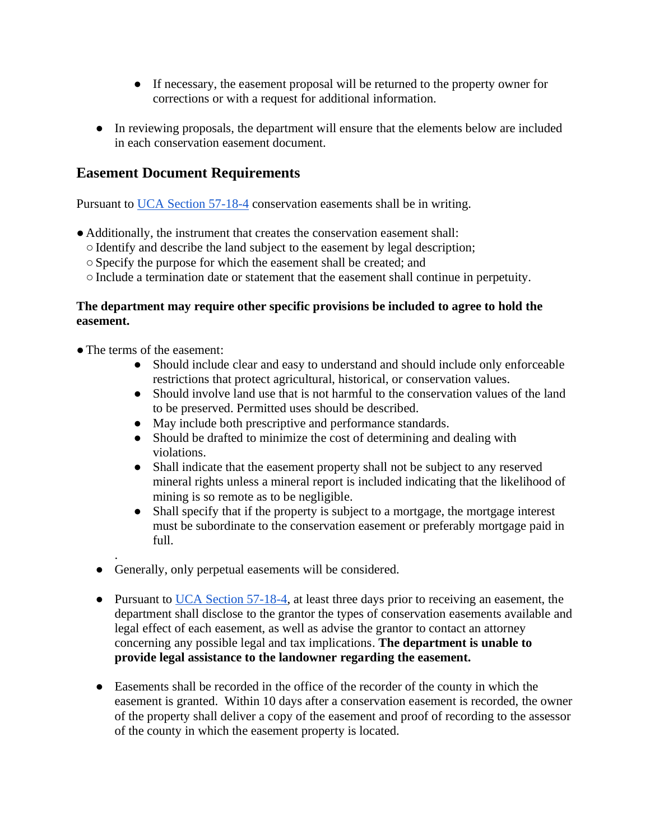- If necessary, the easement proposal will be returned to the property owner for corrections or with a request for additional information.
- In reviewing proposals, the department will ensure that the elements below are included in each conservation easement document.

## **Easement Document Requirements**

Pursuant to [UCA Section 57-18-4](https://le.utah.gov/xcode/Title57/Chapter18/57-18-S4.html?v=C57-18-S4_1800010118000101) conservation easements shall be in writing.

- Additionally, the instrument that creates the conservation easement shall:
	- ○Identify and describe the land subject to the easement by legal description;
	- ○Specify the purpose for which the easement shall be created; and
	- ○Include a termination date or statement that the easement shall continue in perpetuity.

## **The department may require other specific provisions be included to agree to hold the easement.**

- The terms of the easement:
	- Should include clear and easy to understand and should include only enforceable restrictions that protect agricultural, historical, or conservation values.
	- Should involve land use that is not harmful to the conservation values of the land to be preserved. Permitted uses should be described.
	- May include both prescriptive and performance standards.
	- Should be drafted to minimize the cost of determining and dealing with violations.
	- Shall indicate that the easement property shall not be subject to any reserved mineral rights unless a mineral report is included indicating that the likelihood of mining is so remote as to be negligible.
	- Shall specify that if the property is subject to a mortgage, the mortgage interest must be subordinate to the conservation easement or preferably mortgage paid in full.
	- . ● Generally, only perpetual easements will be considered.
	- Pursuant to [UCA Section 57-18-4,](https://le.utah.gov/xcode/Title57/Chapter18/57-18-S4.html?v=C57-18-S4_1800010118000101) at least three days prior to receiving an easement, the department shall disclose to the grantor the types of conservation easements available and legal effect of each easement, as well as advise the grantor to contact an attorney concerning any possible legal and tax implications. **The department is unable to provide legal assistance to the landowner regarding the easement.**
	- Easements shall be recorded in the office of the recorder of the county in which the easement is granted. Within 10 days after a conservation easement is recorded, the owner of the property shall deliver a copy of the easement and proof of recording to the assessor of the county in which the easement property is located.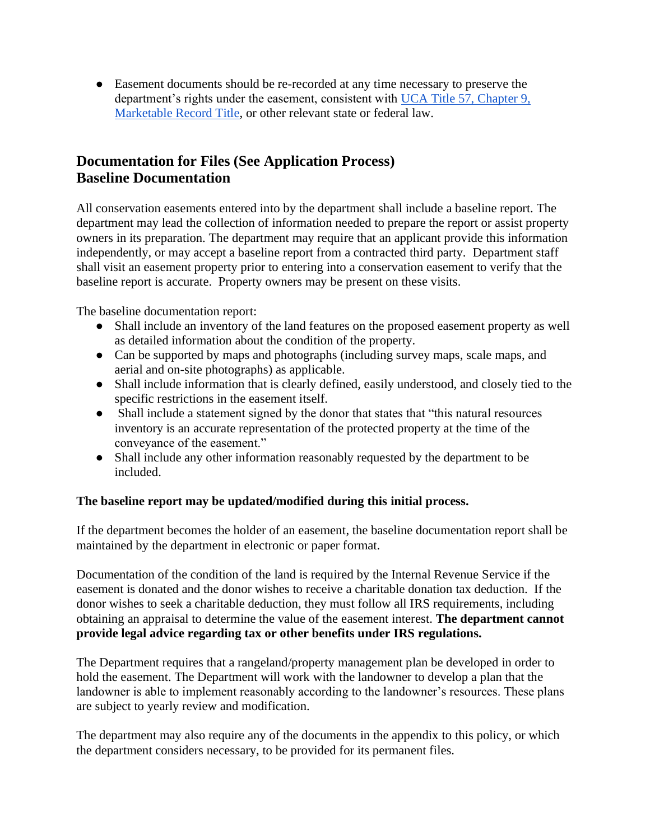● Easement documents should be re-recorded at any time necessary to preserve the department's rights under the easement, consistent with [UCA Title 57, Chapter 9,](https://le.utah.gov/xcode/Title57/Chapter9/57-9.html)  [Marketable Record Title,](https://le.utah.gov/xcode/Title57/Chapter9/57-9.html) or other relevant state or federal law.

# **Documentation for Files (See Application Process) Baseline Documentation**

All conservation easements entered into by the department shall include a baseline report. The department may lead the collection of information needed to prepare the report or assist property owners in its preparation. The department may require that an applicant provide this information independently, or may accept a baseline report from a contracted third party. Department staff shall visit an easement property prior to entering into a conservation easement to verify that the baseline report is accurate. Property owners may be present on these visits.

The baseline documentation report:

- Shall include an inventory of the land features on the proposed easement property as well as detailed information about the condition of the property.
- Can be supported by maps and photographs (including survey maps, scale maps, and aerial and on-site photographs) as applicable.
- Shall include information that is clearly defined, easily understood, and closely tied to the specific restrictions in the easement itself.
- Shall include a statement signed by the donor that states that "this natural resources" inventory is an accurate representation of the protected property at the time of the conveyance of the easement."
- Shall include any other information reasonably requested by the department to be included.

## **The baseline report may be updated/modified during this initial process.**

If the department becomes the holder of an easement, the baseline documentation report shall be maintained by the department in electronic or paper format.

Documentation of the condition of the land is required by the Internal Revenue Service if the easement is donated and the donor wishes to receive a charitable donation tax deduction. If the donor wishes to seek a charitable deduction, they must follow all IRS requirements, including obtaining an appraisal to determine the value of the easement interest. **The department cannot provide legal advice regarding tax or other benefits under IRS regulations.**

The Department requires that a rangeland/property management plan be developed in order to hold the easement. The Department will work with the landowner to develop a plan that the landowner is able to implement reasonably according to the landowner's resources. These plans are subject to yearly review and modification.

The department may also require any of the documents in the appendix to this policy, or which the department considers necessary, to be provided for its permanent files.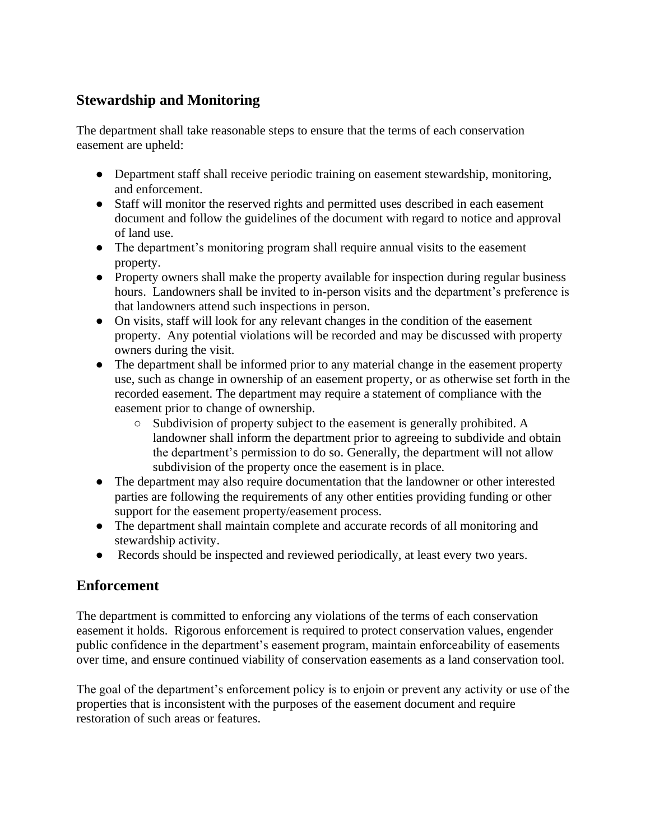# **Stewardship and Monitoring**

The department shall take reasonable steps to ensure that the terms of each conservation easement are upheld:

- Department staff shall receive periodic training on easement stewardship, monitoring, and enforcement.
- Staff will monitor the reserved rights and permitted uses described in each easement document and follow the guidelines of the document with regard to notice and approval of land use.
- The department's monitoring program shall require annual visits to the easement property.
- Property owners shall make the property available for inspection during regular business hours. Landowners shall be invited to in-person visits and the department's preference is that landowners attend such inspections in person.
- On visits, staff will look for any relevant changes in the condition of the easement property. Any potential violations will be recorded and may be discussed with property owners during the visit.
- The department shall be informed prior to any material change in the easement property use, such as change in ownership of an easement property, or as otherwise set forth in the recorded easement. The department may require a statement of compliance with the easement prior to change of ownership.
	- Subdivision of property subject to the easement is generally prohibited. A landowner shall inform the department prior to agreeing to subdivide and obtain the department's permission to do so. Generally, the department will not allow subdivision of the property once the easement is in place.
- The department may also require documentation that the landowner or other interested parties are following the requirements of any other entities providing funding or other support for the easement property/easement process.
- The department shall maintain complete and accurate records of all monitoring and stewardship activity.
- Records should be inspected and reviewed periodically, at least every two years.

# **Enforcement**

The department is committed to enforcing any violations of the terms of each conservation easement it holds. Rigorous enforcement is required to protect conservation values, engender public confidence in the department's easement program, maintain enforceability of easements over time, and ensure continued viability of conservation easements as a land conservation tool.

The goal of the department's enforcement policy is to enjoin or prevent any activity or use of the properties that is inconsistent with the purposes of the easement document and require restoration of such areas or features.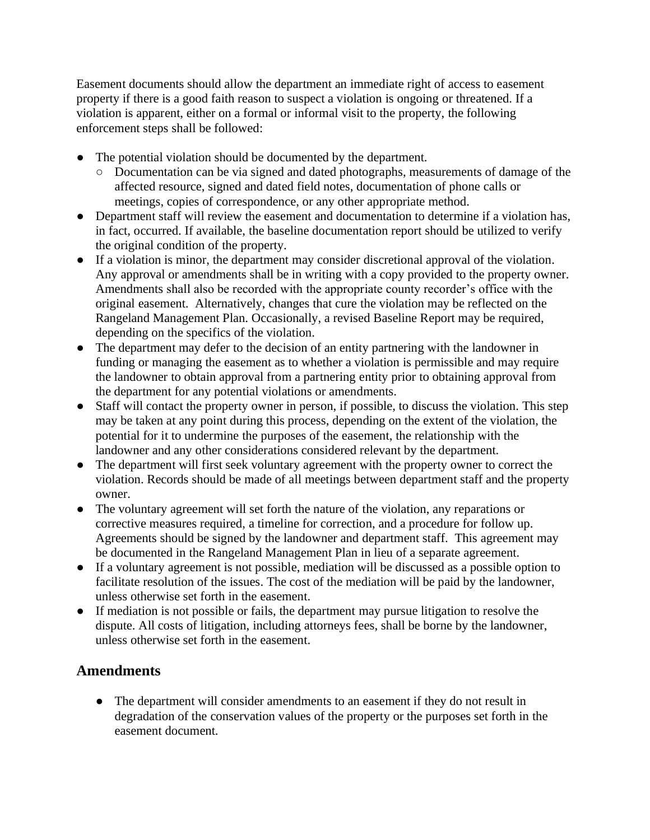Easement documents should allow the department an immediate right of access to easement property if there is a good faith reason to suspect a violation is ongoing or threatened. If a violation is apparent, either on a formal or informal visit to the property, the following enforcement steps shall be followed:

- The potential violation should be documented by the department.
	- Documentation can be via signed and dated photographs, measurements of damage of the affected resource, signed and dated field notes, documentation of phone calls or meetings, copies of correspondence, or any other appropriate method.
- Department staff will review the easement and documentation to determine if a violation has, in fact, occurred. If available, the baseline documentation report should be utilized to verify the original condition of the property.
- If a violation is minor, the department may consider discretional approval of the violation. Any approval or amendments shall be in writing with a copy provided to the property owner. Amendments shall also be recorded with the appropriate county recorder's office with the original easement. Alternatively, changes that cure the violation may be reflected on the Rangeland Management Plan. Occasionally, a revised Baseline Report may be required, depending on the specifics of the violation.
- The department may defer to the decision of an entity partnering with the landowner in funding or managing the easement as to whether a violation is permissible and may require the landowner to obtain approval from a partnering entity prior to obtaining approval from the department for any potential violations or amendments.
- Staff will contact the property owner in person, if possible, to discuss the violation. This step may be taken at any point during this process, depending on the extent of the violation, the potential for it to undermine the purposes of the easement, the relationship with the landowner and any other considerations considered relevant by the department.
- The department will first seek voluntary agreement with the property owner to correct the violation. Records should be made of all meetings between department staff and the property owner.
- The voluntary agreement will set forth the nature of the violation, any reparations or corrective measures required, a timeline for correction, and a procedure for follow up. Agreements should be signed by the landowner and department staff. This agreement may be documented in the Rangeland Management Plan in lieu of a separate agreement.
- If a voluntary agreement is not possible, mediation will be discussed as a possible option to facilitate resolution of the issues. The cost of the mediation will be paid by the landowner, unless otherwise set forth in the easement.
- If mediation is not possible or fails, the department may pursue litigation to resolve the dispute. All costs of litigation, including attorneys fees, shall be borne by the landowner, unless otherwise set forth in the easement.

## **Amendments**

• The department will consider amendments to an easement if they do not result in degradation of the conservation values of the property or the purposes set forth in the easement document.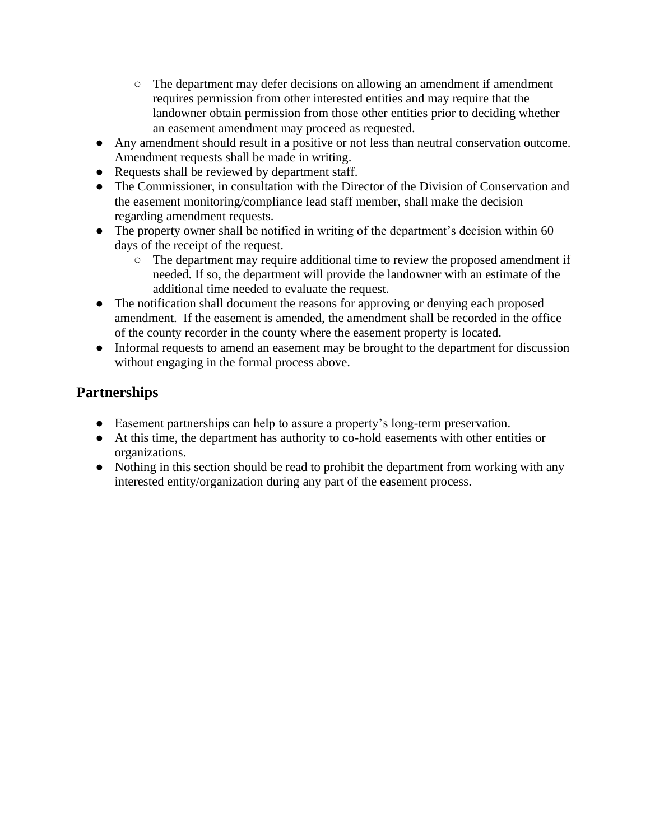- The department may defer decisions on allowing an amendment if amendment requires permission from other interested entities and may require that the landowner obtain permission from those other entities prior to deciding whether an easement amendment may proceed as requested.
- Any amendment should result in a positive or not less than neutral conservation outcome. Amendment requests shall be made in writing.
- Requests shall be reviewed by department staff.
- The Commissioner, in consultation with the Director of the Division of Conservation and the easement monitoring/compliance lead staff member, shall make the decision regarding amendment requests.
- The property owner shall be notified in writing of the department's decision within 60 days of the receipt of the request.
	- The department may require additional time to review the proposed amendment if needed. If so, the department will provide the landowner with an estimate of the additional time needed to evaluate the request.
- The notification shall document the reasons for approving or denying each proposed amendment. If the easement is amended, the amendment shall be recorded in the office of the county recorder in the county where the easement property is located.
- Informal requests to amend an easement may be brought to the department for discussion without engaging in the formal process above.

# **Partnerships**

- Easement partnerships can help to assure a property's long-term preservation.
- At this time, the department has authority to co-hold easements with other entities or organizations.
- Nothing in this section should be read to prohibit the department from working with any interested entity/organization during any part of the easement process.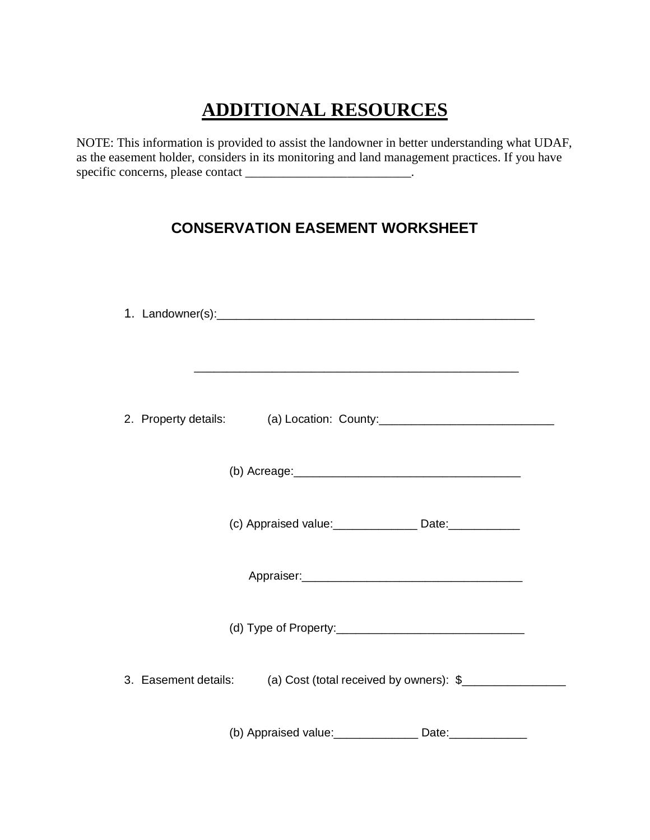# **ADDITIONAL RESOURCES**

NOTE: This information is provided to assist the landowner in better understanding what UDAF, as the easement holder, considers in its monitoring and land management practices. If you have specific concerns, please contact \_\_\_\_\_\_\_\_\_\_\_\_\_\_\_\_\_\_\_\_\_\_\_\_\_\_.

# **CONSERVATION EASEMENT WORKSHEET**

| (c) Appraised value: ______________ Date: __________         |
|--------------------------------------------------------------|
|                                                              |
|                                                              |
| 3. Easement details: (a) Cost (total received by owners): \$ |
| (b) Appraised value: _______________ Date: ___________       |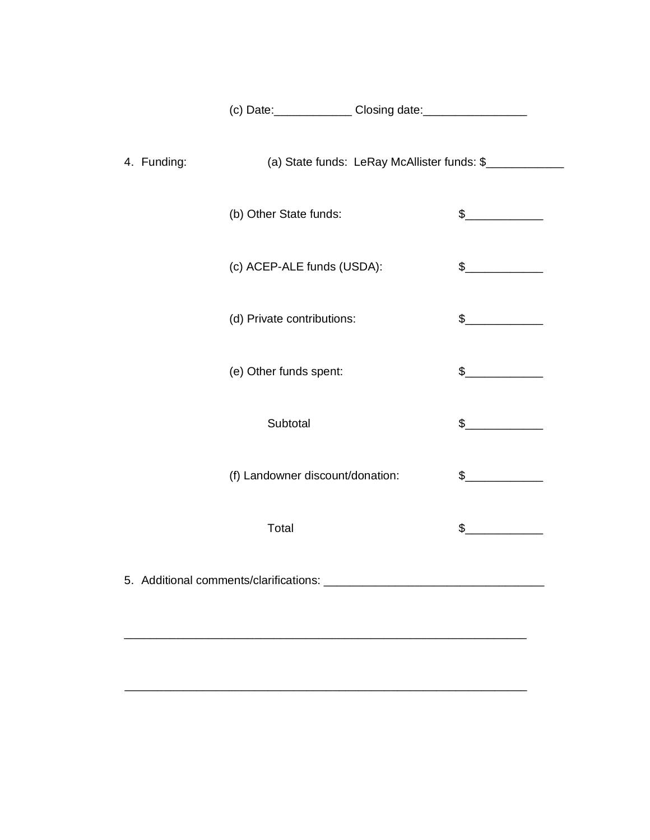| (c) Date: | Closing date: |
|-----------|---------------|
|-----------|---------------|

| 4. Funding: | (a) State funds: LeRay McAllister funds: \$ |                                                                                                                                                                                                                                                                                                                                                     |
|-------------|---------------------------------------------|-----------------------------------------------------------------------------------------------------------------------------------------------------------------------------------------------------------------------------------------------------------------------------------------------------------------------------------------------------|
|             | (b) Other State funds:                      | $\frac{1}{2}$                                                                                                                                                                                                                                                                                                                                       |
|             | (c) ACEP-ALE funds (USDA):                  | $\frac{1}{2}$                                                                                                                                                                                                                                                                                                                                       |
|             | (d) Private contributions:                  | $\frac{1}{2}$                                                                                                                                                                                                                                                                                                                                       |
|             | (e) Other funds spent:                      | $\frac{1}{2}$                                                                                                                                                                                                                                                                                                                                       |
|             | Subtotal                                    | $\frac{1}{2}$                                                                                                                                                                                                                                                                                                                                       |
|             | (f) Landowner discount/donation:            | $\sim$                                                                                                                                                                                                                                                                                                                                              |
|             | Total                                       | $\begin{picture}(20,20) \put(0,0){\line(1,0){10}} \put(15,0){\line(1,0){10}} \put(15,0){\line(1,0){10}} \put(15,0){\line(1,0){10}} \put(15,0){\line(1,0){10}} \put(15,0){\line(1,0){10}} \put(15,0){\line(1,0){10}} \put(15,0){\line(1,0){10}} \put(15,0){\line(1,0){10}} \put(15,0){\line(1,0){10}} \put(15,0){\line(1,0){10}} \put(15,0){\line(1$ |
|             |                                             |                                                                                                                                                                                                                                                                                                                                                     |

\_\_\_\_\_\_\_\_\_\_\_\_\_\_\_\_\_\_\_\_\_\_\_\_\_\_\_\_\_\_\_\_\_\_\_\_\_\_\_\_\_\_\_\_\_\_\_\_\_\_\_\_\_\_\_\_\_\_\_\_\_\_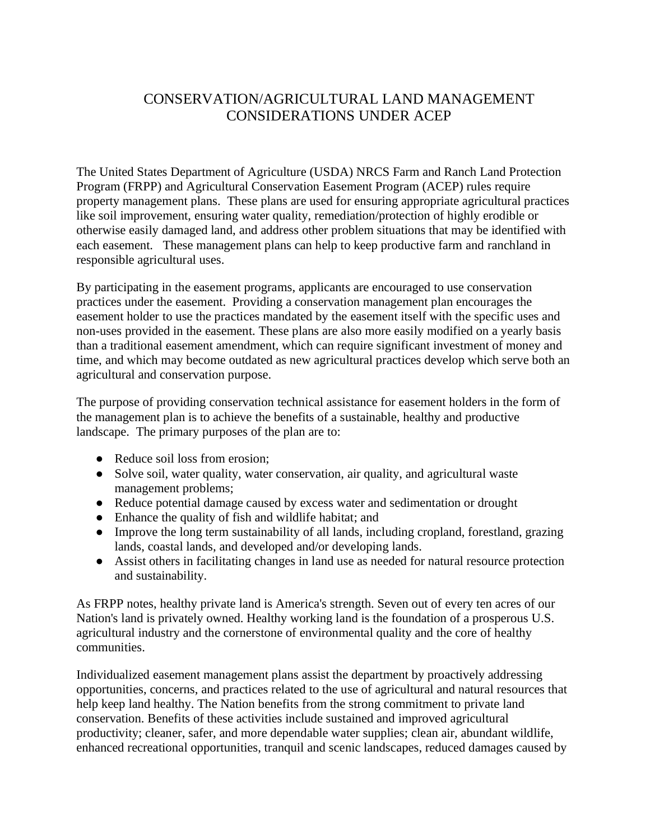# CONSERVATION/AGRICULTURAL LAND MANAGEMENT CONSIDERATIONS UNDER ACEP

The United States Department of Agriculture (USDA) NRCS Farm and Ranch Land Protection Program (FRPP) and Agricultural Conservation Easement Program (ACEP) rules require property management plans. These plans are used for ensuring appropriate agricultural practices like soil improvement, ensuring water quality, remediation/protection of highly erodible or otherwise easily damaged land, and address other problem situations that may be identified with each easement. These management plans can help to keep productive farm and ranchland in responsible agricultural uses.

By participating in the easement programs, applicants are encouraged to use conservation practices under the easement. Providing a conservation management plan encourages the easement holder to use the practices mandated by the easement itself with the specific uses and non-uses provided in the easement. These plans are also more easily modified on a yearly basis than a traditional easement amendment, which can require significant investment of money and time, and which may become outdated as new agricultural practices develop which serve both an agricultural and conservation purpose.

The purpose of providing conservation technical assistance for easement holders in the form of the management plan is to achieve the benefits of a sustainable, healthy and productive landscape. The primary purposes of the plan are to:

- Reduce soil loss from erosion;
- Solve soil, water quality, water conservation, air quality, and agricultural waste management problems;
- Reduce potential damage caused by excess water and sedimentation or drought
- Enhance the quality of fish and wildlife habitat; and
- Improve the long term sustainability of all lands, including cropland, forestland, grazing lands, coastal lands, and developed and/or developing lands.
- Assist others in facilitating changes in land use as needed for natural resource protection and sustainability.

As FRPP notes, healthy private land is America's strength. Seven out of every ten acres of our Nation's land is privately owned. Healthy working land is the foundation of a prosperous U.S. agricultural industry and the cornerstone of environmental quality and the core of healthy communities.

Individualized easement management plans assist the department by proactively addressing opportunities, concerns, and practices related to the use of agricultural and natural resources that help keep land healthy. The Nation benefits from the strong commitment to private land conservation. Benefits of these activities include sustained and improved agricultural productivity; cleaner, safer, and more dependable water supplies; clean air, abundant wildlife, enhanced recreational opportunities, tranquil and scenic landscapes, reduced damages caused by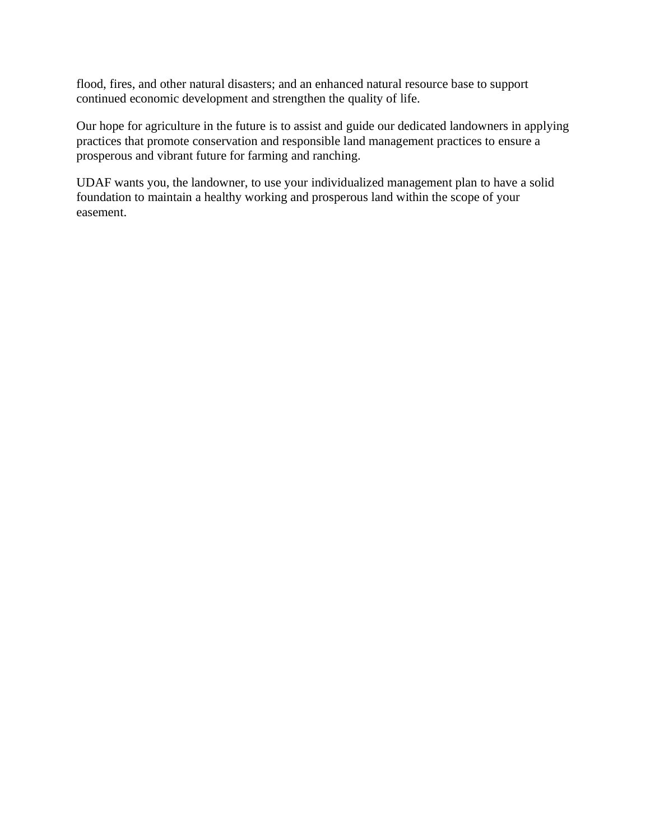flood, fires, and other natural disasters; and an enhanced natural resource base to support continued economic development and strengthen the quality of life.

Our hope for agriculture in the future is to assist and guide our dedicated landowners in applying practices that promote conservation and responsible land management practices to ensure a prosperous and vibrant future for farming and ranching.

UDAF wants you, the landowner, to use your individualized management plan to have a solid foundation to maintain a healthy working and prosperous land within the scope of your easement.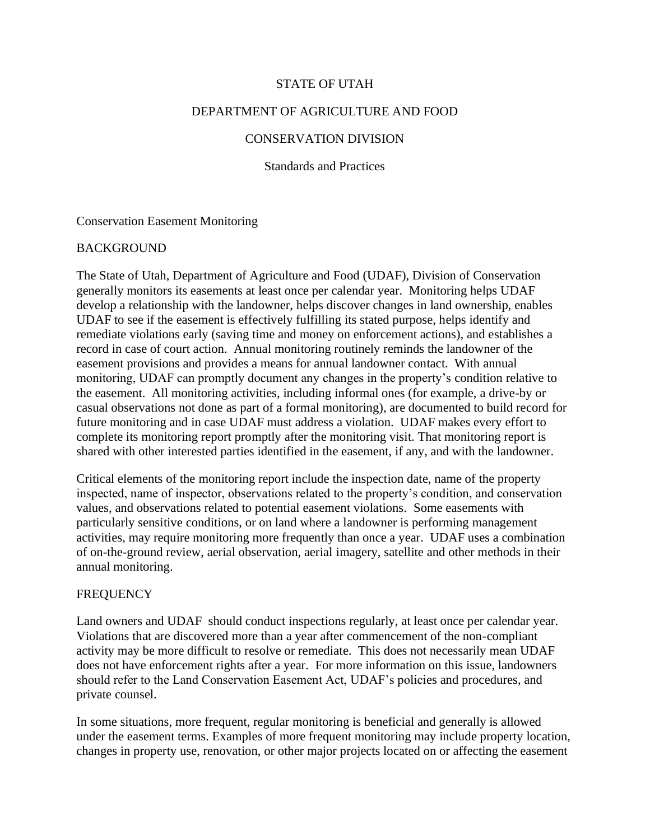#### STATE OF UTAH

#### DEPARTMENT OF AGRICULTURE AND FOOD

#### CONSERVATION DIVISION

Standards and Practices

Conservation Easement Monitoring

#### BACKGROUND

The State of Utah, Department of Agriculture and Food (UDAF), Division of Conservation generally monitors its easements at least once per calendar year. Monitoring helps UDAF develop a relationship with the landowner, helps discover changes in land ownership, enables UDAF to see if the easement is effectively fulfilling its stated purpose, helps identify and remediate violations early (saving time and money on enforcement actions), and establishes a record in case of court action. Annual monitoring routinely reminds the landowner of the easement provisions and provides a means for annual landowner contact. With annual monitoring, UDAF can promptly document any changes in the property's condition relative to the easement. All monitoring activities, including informal ones (for example, a drive-by or casual observations not done as part of a formal monitoring), are documented to build record for future monitoring and in case UDAF must address a violation. UDAF makes every effort to complete its monitoring report promptly after the monitoring visit. That monitoring report is shared with other interested parties identified in the easement, if any, and with the landowner.

Critical elements of the monitoring report include the inspection date, name of the property inspected, name of inspector, observations related to the property's condition, and conservation values, and observations related to potential easement violations. Some easements with particularly sensitive conditions, or on land where a landowner is performing management activities, may require monitoring more frequently than once a year. UDAF uses a combination of on-the-ground review, aerial observation, aerial imagery, satellite and other methods in their annual monitoring.

#### **FREQUENCY**

Land owners and UDAF should conduct inspections regularly, at least once per calendar year. Violations that are discovered more than a year after commencement of the non-compliant activity may be more difficult to resolve or remediate. This does not necessarily mean UDAF does not have enforcement rights after a year. For more information on this issue, landowners should refer to the Land Conservation Easement Act, UDAF's policies and procedures, and private counsel.

In some situations, more frequent, regular monitoring is beneficial and generally is allowed under the easement terms. Examples of more frequent monitoring may include property location, changes in property use, renovation, or other major projects located on or affecting the easement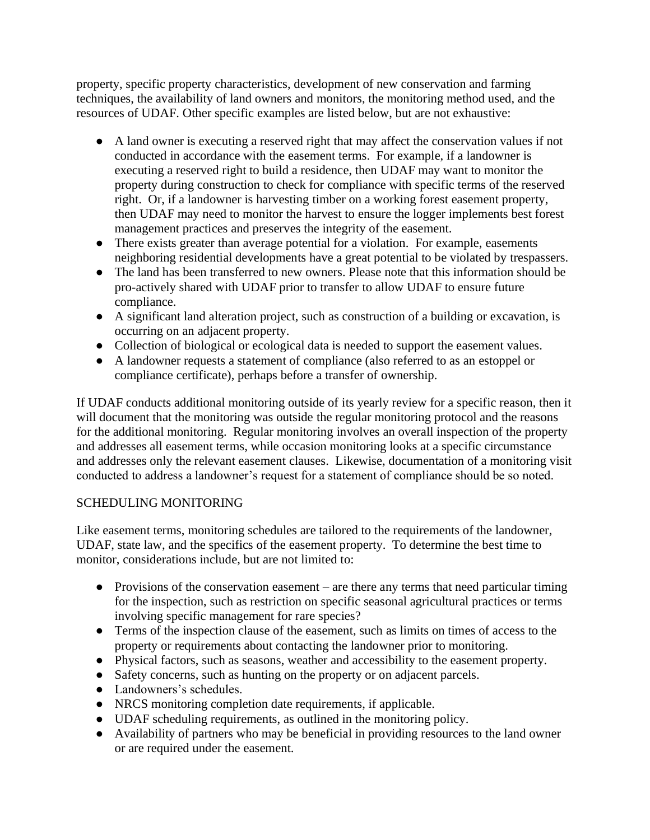property, specific property characteristics, development of new conservation and farming techniques, the availability of land owners and monitors, the monitoring method used, and the resources of UDAF. Other specific examples are listed below, but are not exhaustive:

- A land owner is executing a reserved right that may affect the conservation values if not conducted in accordance with the easement terms. For example, if a landowner is executing a reserved right to build a residence, then UDAF may want to monitor the property during construction to check for compliance with specific terms of the reserved right. Or, if a landowner is harvesting timber on a working forest easement property, then UDAF may need to monitor the harvest to ensure the logger implements best forest management practices and preserves the integrity of the easement.
- There exists greater than average potential for a violation. For example, easements neighboring residential developments have a great potential to be violated by trespassers.
- The land has been transferred to new owners. Please note that this information should be pro-actively shared with UDAF prior to transfer to allow UDAF to ensure future compliance.
- A significant land alteration project, such as construction of a building or excavation, is occurring on an adjacent property.
- Collection of biological or ecological data is needed to support the easement values.
- A landowner requests a statement of compliance (also referred to as an estoppel or compliance certificate), perhaps before a transfer of ownership.

If UDAF conducts additional monitoring outside of its yearly review for a specific reason, then it will document that the monitoring was outside the regular monitoring protocol and the reasons for the additional monitoring. Regular monitoring involves an overall inspection of the property and addresses all easement terms, while occasion monitoring looks at a specific circumstance and addresses only the relevant easement clauses. Likewise, documentation of a monitoring visit conducted to address a landowner's request for a statement of compliance should be so noted.

## SCHEDULING MONITORING

Like easement terms, monitoring schedules are tailored to the requirements of the landowner, UDAF, state law, and the specifics of the easement property. To determine the best time to monitor, considerations include, but are not limited to:

- Provisions of the conservation easement are there any terms that need particular timing for the inspection, such as restriction on specific seasonal agricultural practices or terms involving specific management for rare species?
- Terms of the inspection clause of the easement, such as limits on times of access to the property or requirements about contacting the landowner prior to monitoring.
- Physical factors, such as seasons, weather and accessibility to the easement property.
- Safety concerns, such as hunting on the property or on adjacent parcels.
- Landowners's schedules.
- NRCS monitoring completion date requirements, if applicable.
- UDAF scheduling requirements, as outlined in the monitoring policy.
- Availability of partners who may be beneficial in providing resources to the land owner or are required under the easement.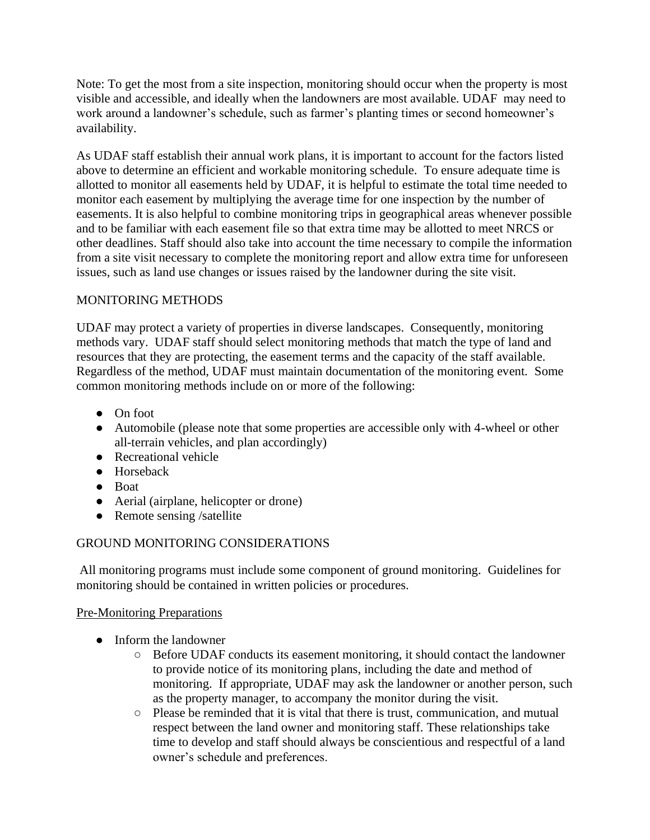Note: To get the most from a site inspection, monitoring should occur when the property is most visible and accessible, and ideally when the landowners are most available. UDAF may need to work around a landowner's schedule, such as farmer's planting times or second homeowner's availability.

As UDAF staff establish their annual work plans, it is important to account for the factors listed above to determine an efficient and workable monitoring schedule. To ensure adequate time is allotted to monitor all easements held by UDAF, it is helpful to estimate the total time needed to monitor each easement by multiplying the average time for one inspection by the number of easements. It is also helpful to combine monitoring trips in geographical areas whenever possible and to be familiar with each easement file so that extra time may be allotted to meet NRCS or other deadlines. Staff should also take into account the time necessary to compile the information from a site visit necessary to complete the monitoring report and allow extra time for unforeseen issues, such as land use changes or issues raised by the landowner during the site visit.

## MONITORING METHODS

UDAF may protect a variety of properties in diverse landscapes. Consequently, monitoring methods vary. UDAF staff should select monitoring methods that match the type of land and resources that they are protecting, the easement terms and the capacity of the staff available. Regardless of the method, UDAF must maintain documentation of the monitoring event. Some common monitoring methods include on or more of the following:

- On foot
- Automobile (please note that some properties are accessible only with 4-wheel or other all-terrain vehicles, and plan accordingly)
- Recreational vehicle
- Horseback
- Boat
- Aerial (airplane, helicopter or drone)
- Remote sensing /satellite

## GROUND MONITORING CONSIDERATIONS

All monitoring programs must include some component of ground monitoring. Guidelines for monitoring should be contained in written policies or procedures.

## Pre-Monitoring Preparations

- Inform the landowner
	- Before UDAF conducts its easement monitoring, it should contact the landowner to provide notice of its monitoring plans, including the date and method of monitoring. If appropriate, UDAF may ask the landowner or another person, such as the property manager, to accompany the monitor during the visit.
	- Please be reminded that it is vital that there is trust, communication, and mutual respect between the land owner and monitoring staff. These relationships take time to develop and staff should always be conscientious and respectful of a land owner's schedule and preferences.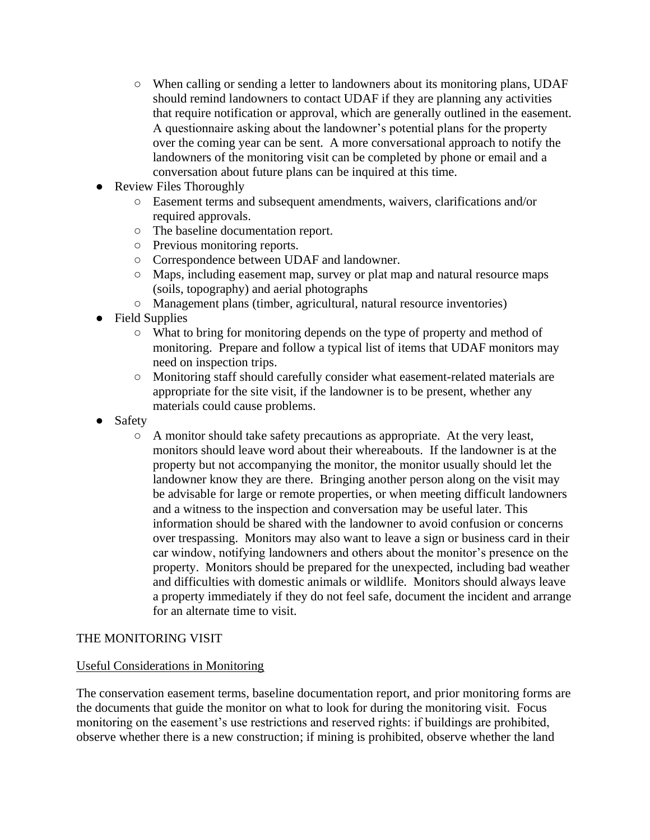- When calling or sending a letter to landowners about its monitoring plans, UDAF should remind landowners to contact UDAF if they are planning any activities that require notification or approval, which are generally outlined in the easement. A questionnaire asking about the landowner's potential plans for the property over the coming year can be sent. A more conversational approach to notify the landowners of the monitoring visit can be completed by phone or email and a conversation about future plans can be inquired at this time.
- **Review Files Thoroughly** 
	- Easement terms and subsequent amendments, waivers, clarifications and/or required approvals.
	- The baseline documentation report.
	- Previous monitoring reports.
	- Correspondence between UDAF and landowner.
	- Maps, including easement map, survey or plat map and natural resource maps (soils, topography) and aerial photographs
	- Management plans (timber, agricultural, natural resource inventories)
- Field Supplies
	- What to bring for monitoring depends on the type of property and method of monitoring. Prepare and follow a typical list of items that UDAF monitors may need on inspection trips.
	- Monitoring staff should carefully consider what easement-related materials are appropriate for the site visit, if the landowner is to be present, whether any materials could cause problems.
- Safety
	- $\circ$  A monitor should take safety precautions as appropriate. At the very least, monitors should leave word about their whereabouts. If the landowner is at the property but not accompanying the monitor, the monitor usually should let the landowner know they are there. Bringing another person along on the visit may be advisable for large or remote properties, or when meeting difficult landowners and a witness to the inspection and conversation may be useful later. This information should be shared with the landowner to avoid confusion or concerns over trespassing. Monitors may also want to leave a sign or business card in their car window, notifying landowners and others about the monitor's presence on the property. Monitors should be prepared for the unexpected, including bad weather and difficulties with domestic animals or wildlife. Monitors should always leave a property immediately if they do not feel safe, document the incident and arrange for an alternate time to visit.

## THE MONITORING VISIT

#### Useful Considerations in Monitoring

The conservation easement terms, baseline documentation report, and prior monitoring forms are the documents that guide the monitor on what to look for during the monitoring visit. Focus monitoring on the easement's use restrictions and reserved rights: if buildings are prohibited, observe whether there is a new construction; if mining is prohibited, observe whether the land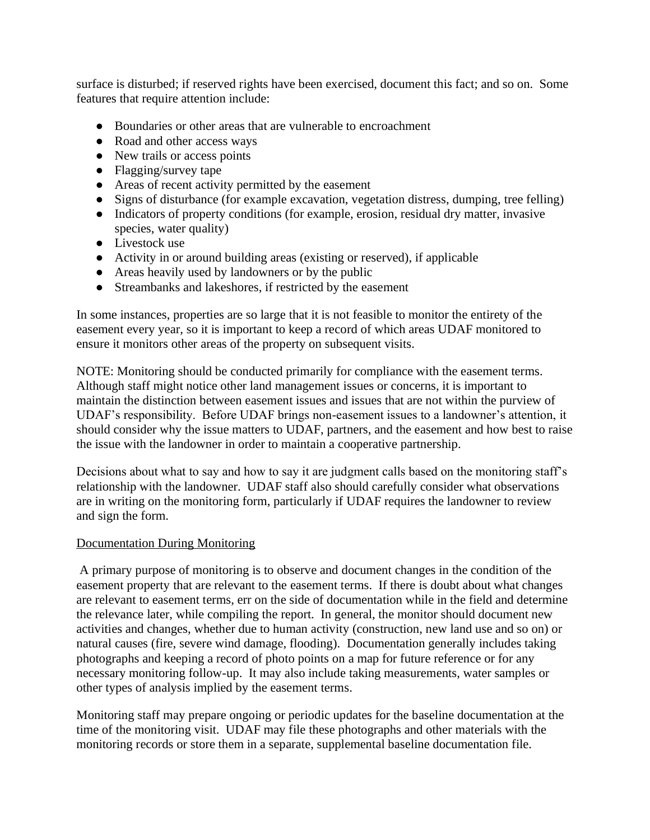surface is disturbed; if reserved rights have been exercised, document this fact; and so on. Some features that require attention include:

- Boundaries or other areas that are vulnerable to encroachment
- Road and other access ways
- New trails or access points
- Flagging/survey tape
- Areas of recent activity permitted by the easement
- Signs of disturbance (for example excavation, vegetation distress, dumping, tree felling)
- Indicators of property conditions (for example, erosion, residual dry matter, invasive species, water quality)
- Livestock use
- Activity in or around building areas (existing or reserved), if applicable
- Areas heavily used by landowners or by the public
- Streambanks and lakeshores, if restricted by the easement

In some instances, properties are so large that it is not feasible to monitor the entirety of the easement every year, so it is important to keep a record of which areas UDAF monitored to ensure it monitors other areas of the property on subsequent visits.

NOTE: Monitoring should be conducted primarily for compliance with the easement terms. Although staff might notice other land management issues or concerns, it is important to maintain the distinction between easement issues and issues that are not within the purview of UDAF's responsibility. Before UDAF brings non-easement issues to a landowner's attention, it should consider why the issue matters to UDAF, partners, and the easement and how best to raise the issue with the landowner in order to maintain a cooperative partnership.

Decisions about what to say and how to say it are judgment calls based on the monitoring staff's relationship with the landowner. UDAF staff also should carefully consider what observations are in writing on the monitoring form, particularly if UDAF requires the landowner to review and sign the form.

#### Documentation During Monitoring

A primary purpose of monitoring is to observe and document changes in the condition of the easement property that are relevant to the easement terms. If there is doubt about what changes are relevant to easement terms, err on the side of documentation while in the field and determine the relevance later, while compiling the report. In general, the monitor should document new activities and changes, whether due to human activity (construction, new land use and so on) or natural causes (fire, severe wind damage, flooding). Documentation generally includes taking photographs and keeping a record of photo points on a map for future reference or for any necessary monitoring follow-up. It may also include taking measurements, water samples or other types of analysis implied by the easement terms.

Monitoring staff may prepare ongoing or periodic updates for the baseline documentation at the time of the monitoring visit. UDAF may file these photographs and other materials with the monitoring records or store them in a separate, supplemental baseline documentation file.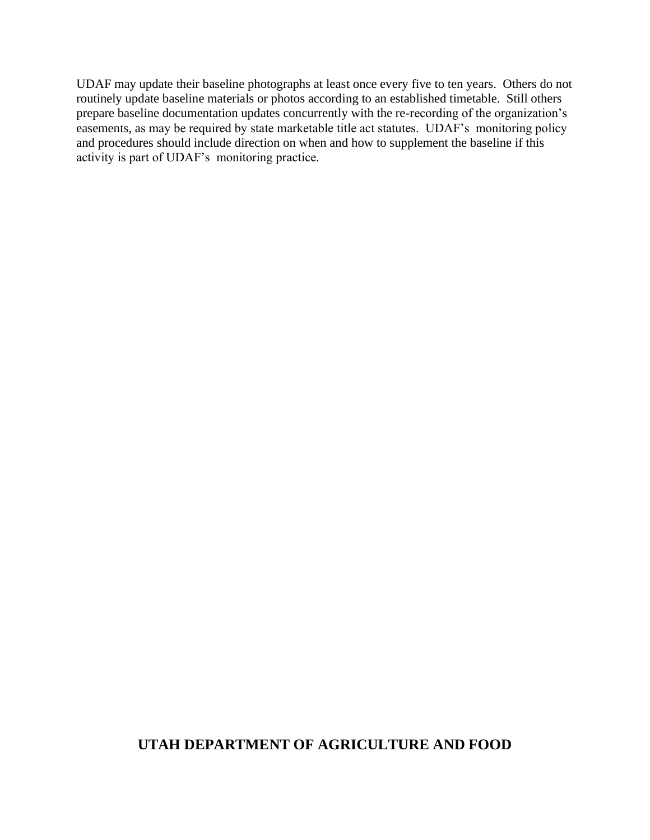UDAF may update their baseline photographs at least once every five to ten years. Others do not routinely update baseline materials or photos according to an established timetable. Still others prepare baseline documentation updates concurrently with the re-recording of the organization's easements, as may be required by state marketable title act statutes. UDAF's monitoring policy and procedures should include direction on when and how to supplement the baseline if this activity is part of UDAF's monitoring practice.

## **UTAH DEPARTMENT OF AGRICULTURE AND FOOD**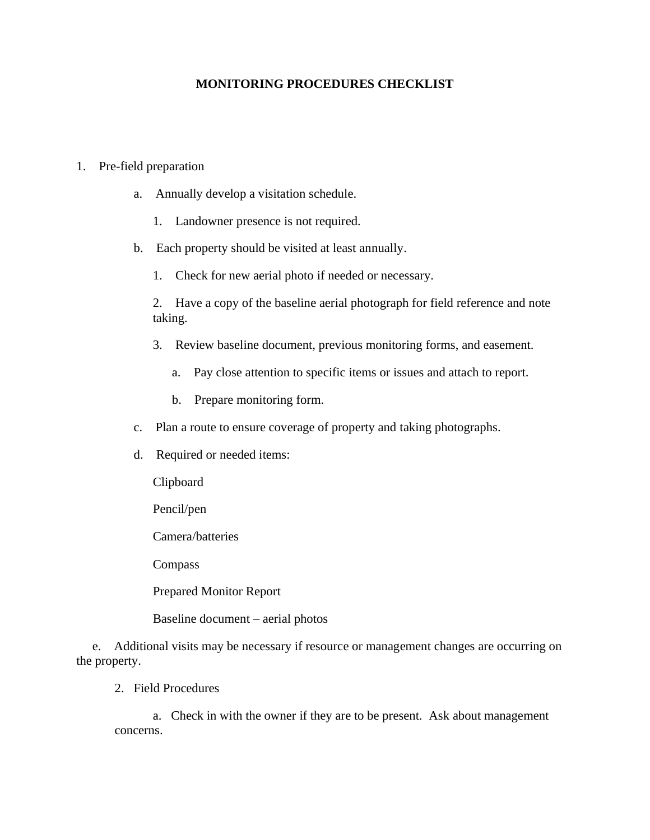#### **MONITORING PROCEDURES CHECKLIST**

#### 1. Pre-field preparation

- a. Annually develop a visitation schedule.
	- 1. Landowner presence is not required.
- b. Each property should be visited at least annually.
	- 1. Check for new aerial photo if needed or necessary.

2. Have a copy of the baseline aerial photograph for field reference and note taking.

- 3. Review baseline document, previous monitoring forms, and easement.
	- a. Pay close attention to specific items or issues and attach to report.
	- b. Prepare monitoring form.
- c. Plan a route to ensure coverage of property and taking photographs.
- d. Required or needed items:

Clipboard

Pencil/pen

Camera/batteries

Compass

Prepared Monitor Report

Baseline document – aerial photos

 e. Additional visits may be necessary if resource or management changes are occurring on the property.

2. Field Procedures

 a. Check in with the owner if they are to be present. Ask about management concerns.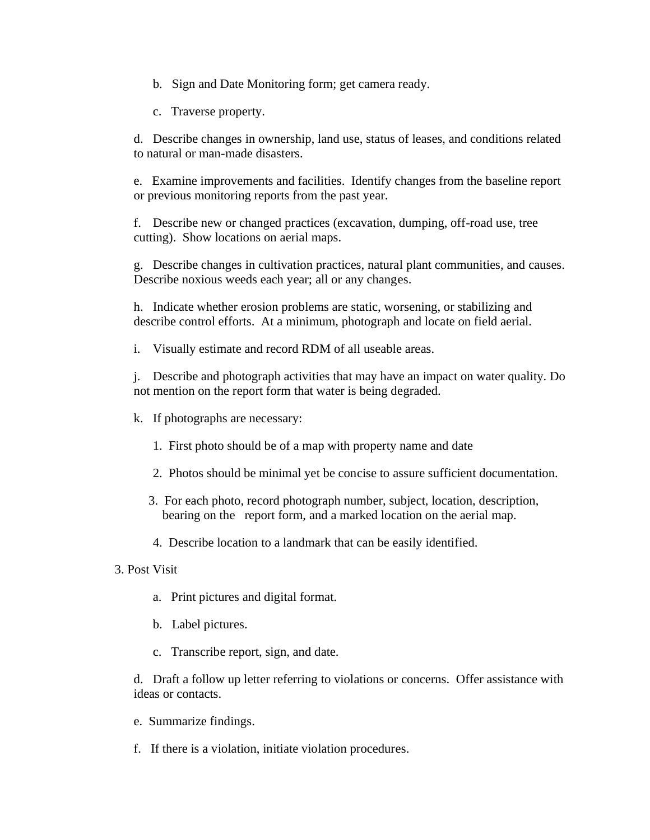b. Sign and Date Monitoring form; get camera ready.

c. Traverse property.

d. Describe changes in ownership, land use, status of leases, and conditions related to natural or man-made disasters.

e. Examine improvements and facilities. Identify changes from the baseline report or previous monitoring reports from the past year.

f. Describe new or changed practices (excavation, dumping, off-road use, tree cutting). Show locations on aerial maps.

g. Describe changes in cultivation practices, natural plant communities, and causes. Describe noxious weeds each year; all or any changes.

h. Indicate whether erosion problems are static, worsening, or stabilizing and describe control efforts. At a minimum, photograph and locate on field aerial.

i. Visually estimate and record RDM of all useable areas.

j. Describe and photograph activities that may have an impact on water quality. Do not mention on the report form that water is being degraded.

k. If photographs are necessary:

- 1. First photo should be of a map with property name and date
- 2. Photos should be minimal yet be concise to assure sufficient documentation.
- 3. For each photo, record photograph number, subject, location, description, bearing on the report form, and a marked location on the aerial map.
- 4. Describe location to a landmark that can be easily identified.

#### 3. Post Visit

- a. Print pictures and digital format.
- b. Label pictures.
- c. Transcribe report, sign, and date.

d. Draft a follow up letter referring to violations or concerns. Offer assistance with ideas or contacts.

- e. Summarize findings.
- f. If there is a violation, initiate violation procedures.